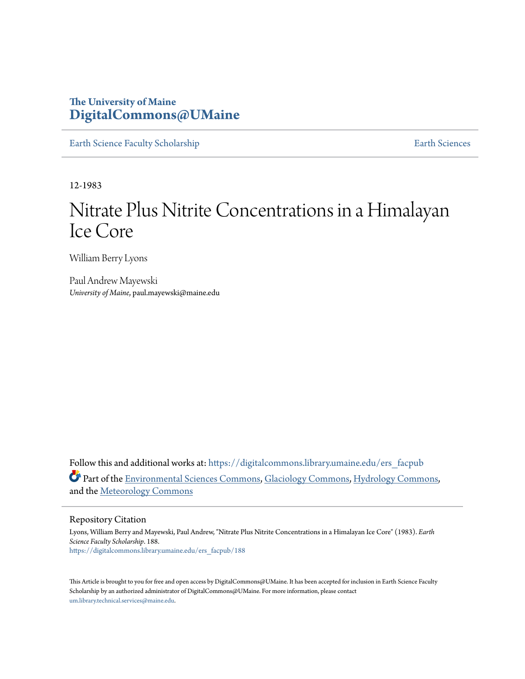# **The University of Maine [DigitalCommons@UMaine](https://digitalcommons.library.umaine.edu?utm_source=digitalcommons.library.umaine.edu%2Fers_facpub%2F188&utm_medium=PDF&utm_campaign=PDFCoverPages)**

[Earth Science Faculty Scholarship](https://digitalcommons.library.umaine.edu/ers_facpub?utm_source=digitalcommons.library.umaine.edu%2Fers_facpub%2F188&utm_medium=PDF&utm_campaign=PDFCoverPages) **[Earth Sciences](https://digitalcommons.library.umaine.edu/ers?utm_source=digitalcommons.library.umaine.edu%2Fers_facpub%2F188&utm_medium=PDF&utm_campaign=PDFCoverPages)** 

12-1983

# Nitrate Plus Nitrite Concentrations in a Himalayan Ice Core

William Berry Lyons

Paul Andrew Mayewski *University of Maine*, paul.mayewski@maine.edu

Follow this and additional works at: [https://digitalcommons.library.umaine.edu/ers\\_facpub](https://digitalcommons.library.umaine.edu/ers_facpub?utm_source=digitalcommons.library.umaine.edu%2Fers_facpub%2F188&utm_medium=PDF&utm_campaign=PDFCoverPages) Part of the [Environmental Sciences Commons,](http://network.bepress.com/hgg/discipline/167?utm_source=digitalcommons.library.umaine.edu%2Fers_facpub%2F188&utm_medium=PDF&utm_campaign=PDFCoverPages) [Glaciology Commons,](http://network.bepress.com/hgg/discipline/159?utm_source=digitalcommons.library.umaine.edu%2Fers_facpub%2F188&utm_medium=PDF&utm_campaign=PDFCoverPages) [Hydrology Commons](http://network.bepress.com/hgg/discipline/1054?utm_source=digitalcommons.library.umaine.edu%2Fers_facpub%2F188&utm_medium=PDF&utm_campaign=PDFCoverPages), and the [Meteorology Commons](http://network.bepress.com/hgg/discipline/190?utm_source=digitalcommons.library.umaine.edu%2Fers_facpub%2F188&utm_medium=PDF&utm_campaign=PDFCoverPages)

# Repository Citation

Lyons, William Berry and Mayewski, Paul Andrew, "Nitrate Plus Nitrite Concentrations in a Himalayan Ice Core" (1983). *Earth Science Faculty Scholarship*. 188. [https://digitalcommons.library.umaine.edu/ers\\_facpub/188](https://digitalcommons.library.umaine.edu/ers_facpub/188?utm_source=digitalcommons.library.umaine.edu%2Fers_facpub%2F188&utm_medium=PDF&utm_campaign=PDFCoverPages)

This Article is brought to you for free and open access by DigitalCommons@UMaine. It has been accepted for inclusion in Earth Science Faculty Scholarship by an authorized administrator of DigitalCommons@UMaine. For more information, please contact [um.library.technical.services@maine.edu](mailto:um.library.technical.services@maine.edu).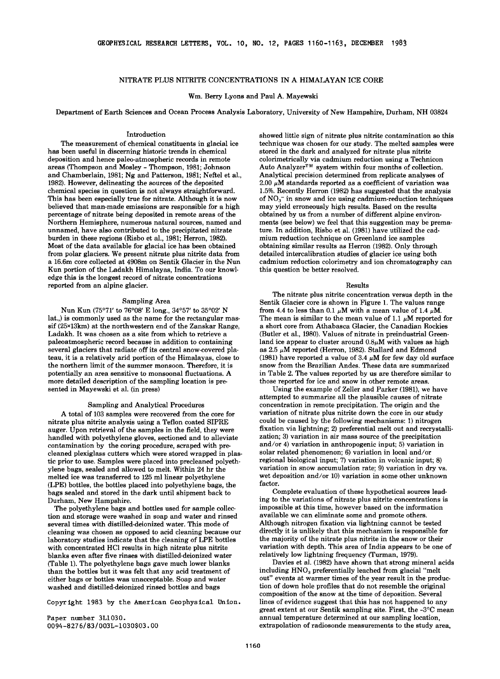## **NITRATE PLUS NITRITE CONCENTRATIONS IN A HIMALAYAN ICE CORE**

#### **Wm. Berry Lyons and Paul A. Mayewski**

**Department of Earth Sciences and Ocean Process Analysis Laboratory, University of New Hampshire, Durham, NH 03824** 

### **Introduction**

**The measurement of chemical constituents in glacial ice has been useful in discerning historic trends in chemical deposition and hence paleo-atmospheric records in remote areas (Thompson and Mosley - Thompson, 1981; Johnson and Chamberlain, 1981; Ng and Patterson, 1981; Neftel et al., 1982). However, delineating the sources of the deposited chemical species in question is not always straightforward. This has been especially true for nitrate. Although it is now believed that man-made emissions are responsible for a high percentage of nitrate being deposited in remote areas of the Northern Hemisphere, numerous natural sources, named and unnamed, have also contributed to the precipitated nitrate burden in these regions (Risbo et al., 1981; Herron, 1982). Most of the data available for glacial ice has been obtained from polar glaciers. We present nitrate plus nitrite data from a 16.6m core collected at 4908m on Sentik Glacier in the Nun Kun portion of the Ladakh Himalayas, India. To our knowledge this is the longest record of nitrate concentrations reported from an alpine glacier.** 

#### **Sampling Area**

Nun Kun (75°71' to 76°08' E long., 34°57' to 35°02' N **lat.,) is commonly used as the name for the rectangular massif (25x13km) at the northwestern end of the Zanskar Range, Ladakh. It was chosen as a site from which to retrieve a paleoatmospheric record because in addition to containing several glaciers that radiate off its central snow-covered plateau, it is a relatively arid portion of the Himalayas, close to the northern limit of the summer monsoon. Therefore, it is potentially an area sensitive to monsoonal fluctuations. A more detailed description of the sampling location is presented in Mayewski et al. (in press)** 

#### **Sampling and Analytical Procedures**

**A total of 103 samples were recovered from the core for nitrate plus nitrite analysis using a Teflon coated SIPRE auger. Upon retrieval of the samples in the field, they were handled with polyethylene gloves, sectioned and to alleviate contamination by the coring procedure, scraped with pre**cleaned plexiglass cutters which were stored wrapped in plas**tic prior to use. Samples were placed into precleaned polyethylene bags, sealed and allowed to melt. Within 24 hr the melted ice was transferred to 125 ml linear polyethylene (LPE) bottles, the bottles placed into polyethylene bags, the bags sealed and stored in the dark until shipment back to Durham, New Hampshire.** 

**The polyethylene bags and bottles used for sample collection and storage were washed in soap and water and rinsed several times with distilled-deionized water. This mode of cleaning was chosen as opposed to acid cleaning because our laboratory studies indicate that the cleaning of LPE bottles with concentrated HC1 results in high nitrate plus nitrite blanks even after five rinses with distilled-deionized water (Table 1). The polyethylene bags gave much lower blanks than the bottles but it was felt that any acid treatment of either bags or bottles was unacceptable. Soap and water washed and distilled-deionized rinsed bottles and bags** 

**Copyright 1983 by the American Geophysical Union.** 

**Paper number 3L1030. 0094-8 27 6/83 / 003L-1030503. O0** 

**showed little sign of nitrate plus nitrite contamination so this technique was chosen for our study. The melted samples were stored in the dark and analyzed for nitrate plus nitrite colorimetrically via cadmium reduction using a Technicon**  Auto Analyzer<sup>™</sup> system within four months of collection. **Analytical precision determined from replicate analyses of 2.00 •M standards reported as a coefficient of variation was 1.5%. Recently Herron (1982) has suggested that the analysis**  of NO<sub>3</sub><sup>-</sup> in snow and ice using cadmium-reduction techniques **may yield erroneously high results. Based on the results obtained by us from a number of different alpine environments (see below) we feel that this suggestion may be premature. In addition, Risbo et al. (1981) have utilized the cadmium reduction technique on Greenland ice samples obtaining similar results as Herron (1982). Only through detailed intercalibration studies of glacier ice using both cadmium reduction colorimetry and ion chromatography can this question be better resolved.** 

#### **Results**

**The nitrate plus nitrite concentration versus depth in the Sentik Glacier core is shown in Figure 1. The values range**  from 4.4 to less than  $0.1 \mu M$  with a mean value of  $1.4 \mu M$ . The mean is similar to the mean value of  $1.1 \mu M$  reported for **a short core from Athabasca Glacier, the Canadian Rockies (Butler et al., 1980). Values of nitrate in preindustrial Greenland ice appear to cluster around 0.8•M with values as high as 2.5 •M reported (Herron, 1982). Stallard and Edmond**  (1981) have reported a value of  $3.4 \mu M$  for few day old surface **snow from the Brazilian Andes. These data are summarized in Table 2. The values reported by us are therefore similar to those reported for ice and snow in other remote areas.** 

**Using the example of Zeller and Parker (1981), we have attempted to summarize all the plausible causes of nitrate concentration in remote precipitation. The origin and the variation of nitrate plus nitrite down the core in our study could be caused by the following mechanisms: 1) nitrogen fixation via lightning; 2) preferential melt out and recrystallization; 3) variation in air mass source of the precipitation and/or 4) variation in anthropogenic input; 5) variation in solar related phenomenon; 6) variation in local and/or regional biological input; 7) variation in volcanic input; 8) variation in snow accumulation rate; 9) variation in dry vs. wet deposition and/or 10) variation in some other unknown factor.** 

**Complete evaluation of these hypothetical sources leading to the variations of nitrate plus nitrite concentrations is impossible at this time, however based on the information available we can eliminate some and promote others. Although nitrogen fixation via lightning cannot be tested directly it is unlikely that this mechanism is responsible for the majority of the nitrate plus nitrite in the snow or their variation with depth. This area of India appears to be one of relatively low lightning frequency (Turman, 1979).** 

**Davies et al. (1982) have shown that strong mineral acids**  including HNO<sub>3</sub> preferentially leached from glacial "melt **out" events at warmer times of the year result in the production of down hole profiles that do not resemble the original composition of the snow at the time of deposition. Several lines of evidence suggest that this has not happened to any great extent at our Sentik sampling site. First, the -3øC mean annual temperature determined at our sampling location, extrapolation of radiosonde measurements to the study area,**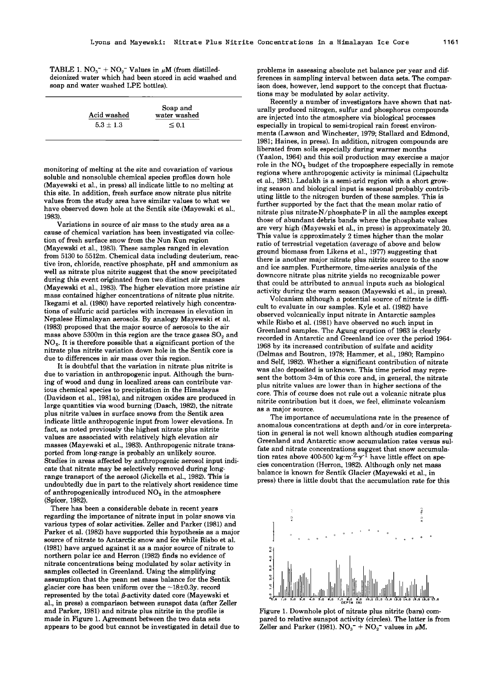**TABLE 1. NO<sub>3</sub><sup>-</sup> + NO<sub>2</sub><sup>-</sup> Values in**  $\mu$ **M (from distilleddeionized water which had been stored in acid washed and soap and water washed LPE bottles).** 

**monitoring of melting at the site and covariation of various soluble and nonsoluble chemical species profiles down hole (Mayewski et al., in press) all indicate little to no melting at this site. In addition, fresh surface snow nitrate plus nitrite values from the study area have similar values to what we have observed down hole at the Sentik site (Mayewski et al., 1983).** 

**Variations in source of air mass to the study area as a cause of chemical variation has been investigated via collection of fresh surface snow from the Nun Kun region (Mayewski et al., 1983). These samples ranged in elevation from 5130 to 5512m. Chemical data including deuterium, reactive iron, chloride, reactive phosphate, pH and ammonium as well as nitrate plus nitrite suggest that the snow precipitated during this event originated from two distinct air masses (Mayewski et al., 1983). The higher elevation more pristine air mass contained higher concentrations of nitrate plus nitrite. Ikegami et al. (1980) have reported relatively high concentrations of sulfuric acid particles with increases in elevation in Nepalese Himalayan aerosols. By analogy Mayewski et al. (1983) proposed that the major source of aerosols to the air**  mass above 5300m in this region are the trace gases  $SO<sub>2</sub>$  and **NOx. It is therefore possible that a significant portion of the nitrate plus nitrite variation down hole in the Sentik core is due to differences in air mass over this region.** 

**It is doubtful that the variation in nitrate plus nitrite is due to variation in anthropogenic input. Although the burning of wood and dung in localized areas can contribute various chemical species to precipitation in the Himalayas (Davidson et al., 1981a), and nitrogen oxides are produced in large quantities via wood burning (Dasch, 1982), the nitrate plus nitrite values in surface snows from the Sentik area indicate little anthropogenic input from lower elevations. In fact, as noted previously the highest nitrate plus nitrite values are associated with relatively high elevation air masses (Mayewski et al., 1983). Anthropogenic nitrate transported from long-range is probably an unlikely source. Studies in areas affected by anthropogenic aerosol input indicate that nitrate may be selectively removed during longrange transport of the aerosol (Jicke]ls et al., 1982). This is undoubtedly due in part to the relatively short residence time of anthropogenically introduced NOx in the atmosphere (Spicer, 1982).** 

**There has been a considerable debate in recent years regarding the importance of nitrate input in polar snows via various types of solar activities. Zeller and Parker (1981) and Parker et al. (1982) have supported this hypothesis as a major**  source of nitrate to Antarctic snow and ice while Risbo et al. **(1981) have argued against it as a major source of nitrate to northern polar ice and Herron (1982) finds no evidence of nitrate concentrations being modulated by solar activity in**  samples collected in Greenland. Using the simplifying assumption that the mean net mass balance for the Sentik glacier core has been uniform over the  $\sim$ 18 $\pm$ 0.3y. record represented by the total  $\beta$ -activity dated core (Mayewski et **al., in press) a comparison between sunspot data (after Zeller and Parker, 1981) and nitrate plus nitrite in the profile is made in Figure 1. Agreement between the two data sets appears to be good but cannot be investigated in detail due to**  **problems in assessing absolute net balance per year and differences in sampling interval between data sets. The comparison does, however, lend support to the concept that fluctuations may be modulated by solar activity.** 

**Recently a number of investigators have shown that naturally produced nitrogen, sulfur and phosphorus compounds are injected into the atmosphere via biological processes especially in tropical to semi-tropical rain forest environments (Lawson and Winchester, 1979; Stallard and Edmond, 1981; Haines, in press). In addition, nitrogen compounds are liberated from soils especially during warmer months (Yaalon, 1964) and this soil production may exercise a major**  role in the NO<sub>x</sub> budget of the troposphere especially in remote **regions where anthropogenic activity is minimal (Lipschultz et al., 1981). Ladakh is a semi-arid region with a short growing season and biological input is seasonal probably contributing little to the nitrogen burden of these samples. This is further supported by the fact that the mean molar ratio of nitrate plus nitrate-N/phosphate-P in all the samples except those of abundant debris bands where the phosphate values are very high (Mayewski et al., in press) is approximately 20. This value is approximately 2 times higher than the molar ratio of terrestrial vegetation (average of above and below ground biomass from Likens et al., 1977) suggesting that there is another major nitrate plus nitrite source to the snow and ice samples. Furthermore, time-series analysis of the downcore nitrate plus nitrite yields no recognizable power that could be attributed to annual inputs such as biological activity during the warm season (Mayewski et al., in press).** 

**Volcanism although a potential source of nitrate is difficult to evaluate in our samples. Kyle et al. (1982) have observed volcanically input nitrate in Antarctic samples while Risbo et al. (1981) have observed no such input in Greenland samples. The Agung eruption of 1963 is clearly recorded in Antarctic and Greenland ice over the period 1964- 1968 by its increased contribution of sulfate and acidity (Delmas and Boutron, 1978; Hammer, et al., 1980; Rampino and Sell 1982). Whether a significant contribution of nitrate was also deposited is unknown. This time period may represent the bottom 3-4m of this core and, in general, the nitrate plus nitrite values are lower than in higher sections of the core. This of course does not rule out a volcanic nitrate plus nitrite contribution but it does, we feel, eliminate volcanism as a major source.** 

**The importance of accumulations rate in the presence of anomalous concentrations at depth and/or in core interpretation in general is not well known although studies comparing Greenland and Antarctic snow accumulation rates versus sulfate and nitrate concentrations suggest that snow accumulation rates above 400-500 kg.m'2.y -1 have little effect on species concentration (Herron, 1982). Although only net mass balance is known for Sentik Glacier (Mayewski et al., in press) there is little doubt that the accumulation rate for this** 



**Figure 1. Downhole plot of nitrate plus nitrite (bars) compared to relative sunspot activity (circles). The latter is from**  Zeller and Parker (1981).  $NO<sub>3</sub><sup>-</sup> + NO<sub>2</sub><sup>-</sup>$  values in  $\mu$ M.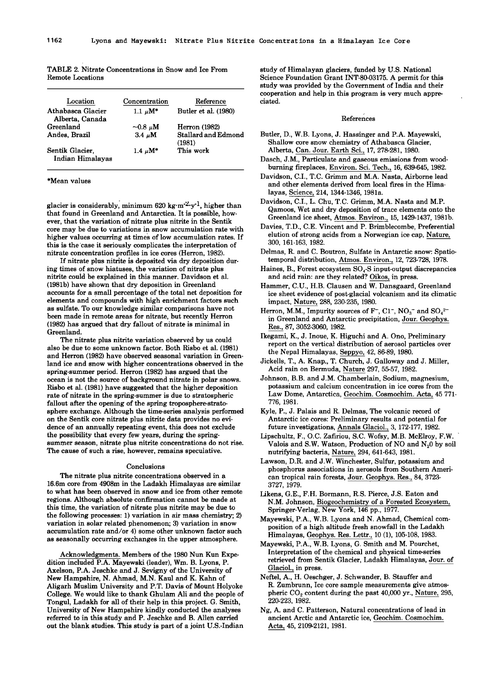| Location                             | Concentration | Reference                     |
|--------------------------------------|---------------|-------------------------------|
| Athabasca Glacier<br>Alberta, Canada | $1.1 \mu M^*$ | Butler et al. (1980)          |
| Greenland                            | $-0.8 \mu M$  | <b>Herron</b> (1982)          |
| Andes, Brazil                        | $3.4 \mu M$   | Stallard and Edmond<br>(1981) |
| Sentik Glacier.<br>Indian Himalayas  | $1.4 \mu M^*$ | This work                     |

**TABLE 2. Nitrate Concentrations in Snow and Ice From Remote Locations** 

#### **\*Mean values**

**glacier is considerably• minimum 620 kg'm'2-y '1, higher than that found in Greenland and Antarctica. It is possible, however, that the variation of nitrate plus nitrite in the Sentik core may be due to variations in snow accumulation rate with higher values occurring at times of low accumulation rates. If**  this is the case it seriously complicates the interpretation of **nitrate concentration profiles in ice cores (Herron, 1982).** 

**If nitrate plus nitrite is deposited via dry deposition during times of snow hiatuses, the variation of nitrate plus nitrite could be explained in this manner. Davidson et al. (1981b) have shown that dry deposition in Greenland accounts for a small percentage of the total net deposition for elements and compounds with high enrichment factors such as sulfate. To our knowledge similar comparisons have not been made in remote areas for nitrate, but recently Herron (1982) has argued that dry fallout of nitrate is minimal in Greenland.** 

**The nitrate plus nitrite variation observed by us could also be due to some unknown factor. Both Risbo et al. (1981) and Herron (1982) have observed seasonal variation in Greenland ice and snow with higher concentrations observed in the spring-summer period. Herron (1982) has argued that the ocean is not the source of background nitrate in polar snows. Risbo et al. (1981) have suggested that the higher deposition rate of nitrate in the spring-summer is due to stratospheric fallout after the opening of the spring troposphere-stratosphere exchange. Although the time-series analysis performed on the Sentik core nitrate plus nitrite data provides no evidence of an annually repeating event, this does not exclude the possibility that every few years, during the spring**summer season, nitrate plus nitrite concentrations do not rise. **The cause of such a rise, however, remains speculative.** 

#### **Conclusions**

**The nitrate plus nitrite concentrations observed in a 16.6m core from 4908m in the Ladakh Himalayas are similar to what has been observed in snow and ice from other remote regions. Although absolute confirmation cannot be made at this time, the variation of nitrate plus nitrite may be due to the following processes: 1) variation in air mass chemistry; 2) variation in solar related phenomenon; 3) variation in snow accumulation rate and/or 4) some other unknown factor such as seasonally occurring exchanges in the upper atmosphere.** 

**Acknowledgments. Members of the 1980 Nun Kun Expedition included P.A. Mayewski (leader), Wm. B. Lyons, P. Axelson, P.A. Jeschke and J. Sevigny of the University of New Hampshire, N. Ahmad, M.N. Kaul and K. Kahn of Aligarh Muslim University and P.T. Davis of Mount Holyoke College. We would like to thank Ghulam Ali and the people of Tongul, Ladakh for all of their help in this project. G. Smith, University of New Hampshire kindly conducted the analyses referred to in this study and P. Jeschke and B. Allen carried out the blank studies. This study is part of a joint U.S.-Indian** 

**study of Himalayan glaciers, funded by U.S. National Science Foundation Grant INT-80-03175. A permit for this study was provided by the Government of India and their cooperation and help in this program is very much appreciated.** 

#### **References**

- **Butler, D., W.B. Lyons, J. Hassinger and P.A. Mayewski, Shallow core snow chemistry of Athabasca Glacier, Alberta, Can. Jour. Earth Sci., 17, 278-281, 1980.**
- **Dasch, J.M., Particulate and gaseous emissions from woodburning fireplaces, Environ. Sci. Tech., 16, 639-645, 1982.**
- **Davidson, C.I., T.C. Grimm and M.A. Nasta, Airborne lead and other elements derived from local fires in the Himalayas, Science, 214, 1344-1346, 1981a.**
- **Davidson, C.I., L. Chu, T.C. Grimm, M.A. Nasta and M.P. Qamoos, Wet and dry deposition of trace elements onto the Greenland ice sheet, Atmos. Environ., 15, 1429-1437, 1981b.**
- **Davies, T.D., C.E. Vincent and P. Brimblecombe, Preferential elution of strong acids from a Norwegian ice cap, Nature, 300, 161-163, 1982.**
- Delmas, R. and C. Boutron, Sulfate in Antarctic snow: Spatio**temporal distribution, Atmos. Environ., 12, 723-728, 1978.**
- Haines, B., Forest ecosystem SO<sub>4</sub>-S input-output discrepancies **and acid rain: are they related? Oikos, in press.**
- **Hammer, C.U., H.B. Clausen and W. Dansgaard, Greenland ice sheet evidence of post-glacial volcanism and its climatic impact, Nature, 288, 230-235, 1980.**
- Herron, M.M., Impurity sources of  $F^{\dagger}$ , C1<sup> $\dagger$ </sup>, NO<sub>3</sub><sup> $\dagger$ </sup> and SO<sub>4</sub><sup>2 $\dagger$ </sup> **in Greenland and Antarctic precipitation, Jour. Geophys. Res., 87, 3052-3060, 1982.**
- **Ikegami, K., J. Inoue, K. Higuchi and A. Ono, Preliminary report on the vertical distribution of aerosol particles over the Nepal Himalayas, Seppyo, 42, 86-89, 1980.**
- **Jickells, T., A. Knap., T. Church, J. Galloway and J. Miller, Acid rain on Bermuda, Nature 297, 55-57, 1982.**
- **Johnson, B.B. and J.M. Chamberlain, Sodium, magnesium, potassium and calcium concentration in ice cores from the Law Dome, Antarctica, Geochim. Cosmochim. Acta, 45 771- 776, 1981.**
- **Kyle, P., J. Palais and R. Delmas, The volcanic record of Antarctic ice cores: Preliminary results and potential for future investigations, Annals Glaciol., 3, 172-177, 1982.**
- **Lipschultz, F., O.C. Zafiriou, S.C. Wofsy, M.B. McElroy, F.W.**  Valois and S.W. Watson, Production of NO and N<sub>2</sub>0 by soil **nutrifying bacteria, Nature, 294, 641-643, 1981.**
- **Lawson, D.R. and J.W. Winchester, Sulfur, potassium and phosphorus associations in aerosols from Southern American tropical rain forests, Jour. Geophys. Res., 84, 3723- 3727, 1979.**
- **Likens, G.E., F.H. Bormann, R.S. Pierce, J.S. Eaton and N.M. Johnson, Biogeochemistry of a Forested Ecosystem, Springer-Verlag, New York, 146 pp., 1977.**
- **Mayewski, P.A., W.B. Lyons and N. Ahmad, Chemical composition of a high altitude fresh snowfall in the Ladakh Himalayas, Geophys. Res. Lettr., 10 (1), 105-108, 1983.**
- **Mayewski, P.A., W.B. Lyons, G, Smith and M. Pourchet, Interpretation of the chemical and physical time-series retrieved from Sentik Glacier, Ladakh Himalayas, Jour. of Glaciol., in press.**
- **Neftel, A., H. Oeschger, J. Schwander, B. Stauffer and R. Zumbrunn, Ice core sample measurements give atmospheric CO• content during the past 40,000 yr., Nature, 295, 220-223, 1982.**
- **Ng, A. and C. Patterson, Natural concentrations of lead in ancient Arctic and Antarctic ice, Geochim. Cosmochim. Acta, 45, 2109-2121, 1981.**